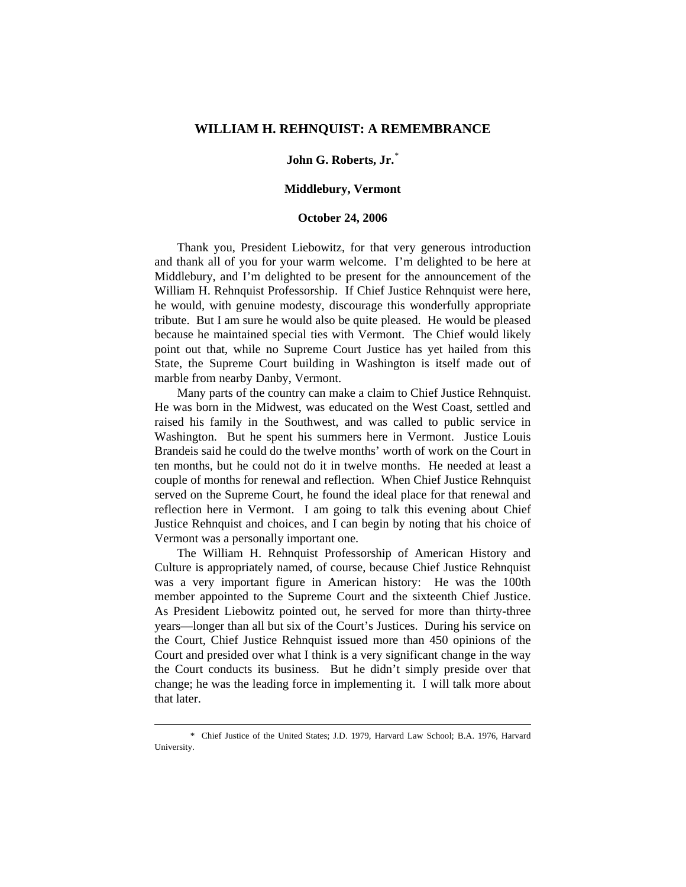## **WILLIAM H. REHNQUIST: A REMEMBRANCE**

## **John G. Roberts, Jr.**[\\*](#page-0-0)

## **Middlebury, Vermont**

## **October 24, 2006**

 Thank you, President Liebowitz, for that very generous introduction and thank all of you for your warm welcome. I'm delighted to be here at Middlebury, and I'm delighted to be present for the announcement of the William H. Rehnquist Professorship. If Chief Justice Rehnquist were here, he would, with genuine modesty, discourage this wonderfully appropriate tribute. But I am sure he would also be quite pleased. He would be pleased because he maintained special ties with Vermont. The Chief would likely point out that, while no Supreme Court Justice has yet hailed from this State, the Supreme Court building in Washington is itself made out of marble from nearby Danby, Vermont.

 Many parts of the country can make a claim to Chief Justice Rehnquist. He was born in the Midwest, was educated on the West Coast, settled and raised his family in the Southwest, and was called to public service in Washington. But he spent his summers here in Vermont. Justice Louis Brandeis said he could do the twelve months' worth of work on the Court in ten months, but he could not do it in twelve months. He needed at least a couple of months for renewal and reflection. When Chief Justice Rehnquist served on the Supreme Court, he found the ideal place for that renewal and reflection here in Vermont. I am going to talk this evening about Chief Justice Rehnquist and choices, and I can begin by noting that his choice of Vermont was a personally important one.

 The William H. Rehnquist Professorship of American History and Culture is appropriately named, of course, because Chief Justice Rehnquist was a very important figure in American history: He was the 100th member appointed to the Supreme Court and the sixteenth Chief Justice. As President Liebowitz pointed out, he served for more than thirty-three years—longer than all but six of the Court's Justices. During his service on the Court, Chief Justice Rehnquist issued more than 450 opinions of the Court and presided over what I think is a very significant change in the way the Court conducts its business. But he didn't simply preside over that change; he was the leading force in implementing it. I will talk more about that later.

1

<span id="page-0-0"></span> <sup>\*</sup> Chief Justice of the United States; J.D. 1979, Harvard Law School; B.A. 1976, Harvard University.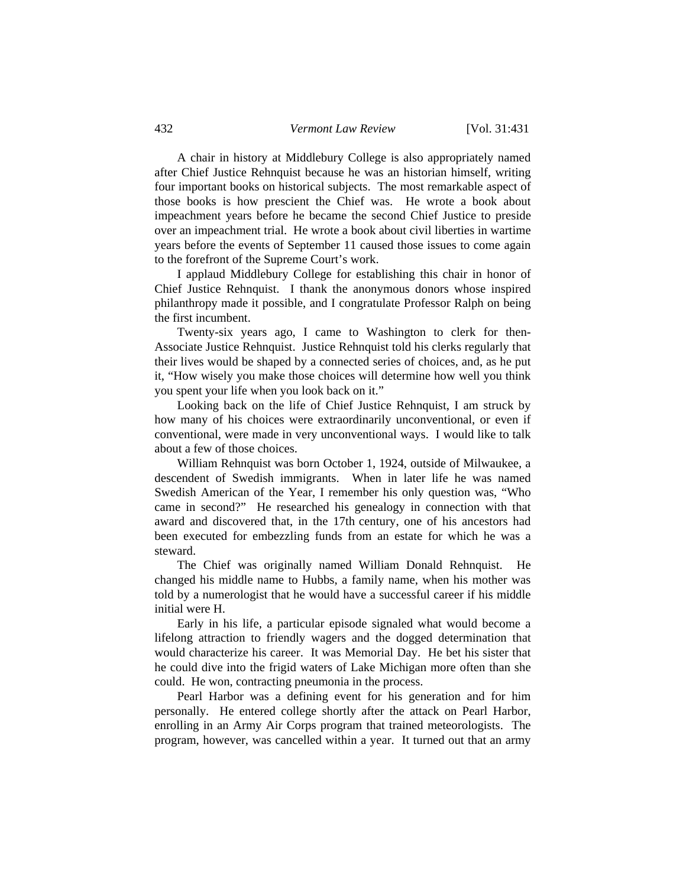A chair in history at Middlebury College is also appropriately named after Chief Justice Rehnquist because he was an historian himself, writing four important books on historical subjects. The most remarkable aspect of those books is how prescient the Chief was. He wrote a book about impeachment years before he became the second Chief Justice to preside over an impeachment trial. He wrote a book about civil liberties in wartime years before the events of September 11 caused those issues to come again to the forefront of the Supreme Court's work.

 I applaud Middlebury College for establishing this chair in honor of Chief Justice Rehnquist. I thank the anonymous donors whose inspired philanthropy made it possible, and I congratulate Professor Ralph on being the first incumbent.

 Twenty-six years ago, I came to Washington to clerk for then-Associate Justice Rehnquist. Justice Rehnquist told his clerks regularly that their lives would be shaped by a connected series of choices, and, as he put it, "How wisely you make those choices will determine how well you think you spent your life when you look back on it."

 Looking back on the life of Chief Justice Rehnquist, I am struck by how many of his choices were extraordinarily unconventional, or even if conventional, were made in very unconventional ways. I would like to talk about a few of those choices.

 William Rehnquist was born October 1, 1924, outside of Milwaukee, a descendent of Swedish immigrants. When in later life he was named Swedish American of the Year, I remember his only question was, "Who came in second?" He researched his genealogy in connection with that award and discovered that, in the 17th century, one of his ancestors had been executed for embezzling funds from an estate for which he was a steward.

 The Chief was originally named William Donald Rehnquist. He changed his middle name to Hubbs, a family name, when his mother was told by a numerologist that he would have a successful career if his middle initial were H.

 Early in his life, a particular episode signaled what would become a lifelong attraction to friendly wagers and the dogged determination that would characterize his career. It was Memorial Day. He bet his sister that he could dive into the frigid waters of Lake Michigan more often than she could. He won, contracting pneumonia in the process.

 Pearl Harbor was a defining event for his generation and for him personally. He entered college shortly after the attack on Pearl Harbor, enrolling in an Army Air Corps program that trained meteorologists. The program, however, was cancelled within a year. It turned out that an army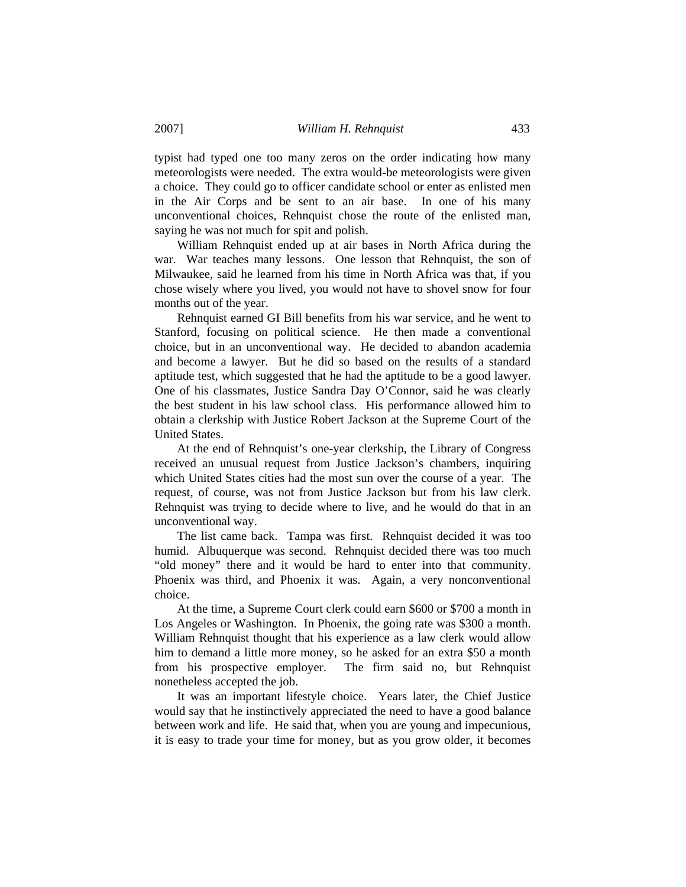typist had typed one too many zeros on the order indicating how many meteorologists were needed. The extra would-be meteorologists were given a choice. They could go to officer candidate school or enter as enlisted men in the Air Corps and be sent to an air base. In one of his many unconventional choices, Rehnquist chose the route of the enlisted man, saying he was not much for spit and polish.

 William Rehnquist ended up at air bases in North Africa during the war. War teaches many lessons. One lesson that Rehnquist, the son of Milwaukee, said he learned from his time in North Africa was that, if you chose wisely where you lived, you would not have to shovel snow for four months out of the year.

 Rehnquist earned GI Bill benefits from his war service, and he went to Stanford, focusing on political science. He then made a conventional choice, but in an unconventional way. He decided to abandon academia and become a lawyer. But he did so based on the results of a standard aptitude test, which suggested that he had the aptitude to be a good lawyer. One of his classmates, Justice Sandra Day O'Connor, said he was clearly the best student in his law school class. His performance allowed him to obtain a clerkship with Justice Robert Jackson at the Supreme Court of the United States.

 At the end of Rehnquist's one-year clerkship, the Library of Congress received an unusual request from Justice Jackson's chambers, inquiring which United States cities had the most sun over the course of a year. The request, of course, was not from Justice Jackson but from his law clerk. Rehnquist was trying to decide where to live, and he would do that in an unconventional way.

 The list came back. Tampa was first. Rehnquist decided it was too humid. Albuquerque was second. Rehnquist decided there was too much "old money" there and it would be hard to enter into that community. Phoenix was third, and Phoenix it was. Again, a very nonconventional choice.

 At the time, a Supreme Court clerk could earn \$600 or \$700 a month in Los Angeles or Washington. In Phoenix, the going rate was \$300 a month. William Rehnquist thought that his experience as a law clerk would allow him to demand a little more money, so he asked for an extra \$50 a month from his prospective employer. The firm said no, but Rehnquist nonetheless accepted the job.

 It was an important lifestyle choice. Years later, the Chief Justice would say that he instinctively appreciated the need to have a good balance between work and life. He said that, when you are young and impecunious, it is easy to trade your time for money, but as you grow older, it becomes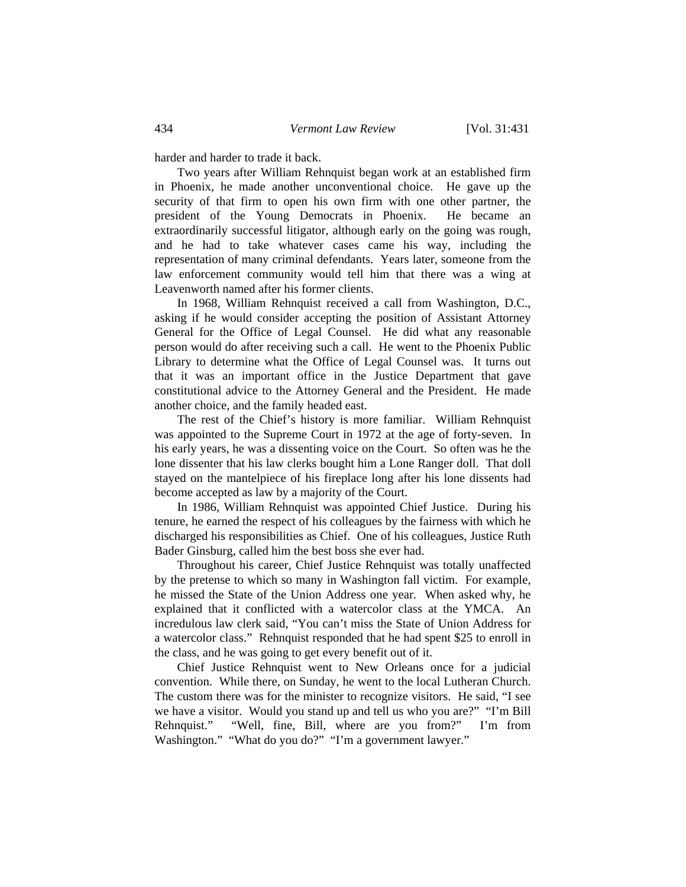harder and harder to trade it back.

 Two years after William Rehnquist began work at an established firm in Phoenix, he made another unconventional choice. He gave up the security of that firm to open his own firm with one other partner, the president of the Young Democrats in Phoenix. He became an extraordinarily successful litigator, although early on the going was rough, and he had to take whatever cases came his way, including the representation of many criminal defendants. Years later, someone from the law enforcement community would tell him that there was a wing at Leavenworth named after his former clients.

 In 1968, William Rehnquist received a call from Washington, D.C., asking if he would consider accepting the position of Assistant Attorney General for the Office of Legal Counsel. He did what any reasonable person would do after receiving such a call. He went to the Phoenix Public Library to determine what the Office of Legal Counsel was. It turns out that it was an important office in the Justice Department that gave constitutional advice to the Attorney General and the President. He made another choice, and the family headed east.

 The rest of the Chief's history is more familiar. William Rehnquist was appointed to the Supreme Court in 1972 at the age of forty-seven. In his early years, he was a dissenting voice on the Court. So often was he the lone dissenter that his law clerks bought him a Lone Ranger doll. That doll stayed on the mantelpiece of his fireplace long after his lone dissents had become accepted as law by a majority of the Court.

 In 1986, William Rehnquist was appointed Chief Justice. During his tenure, he earned the respect of his colleagues by the fairness with which he discharged his responsibilities as Chief. One of his colleagues, Justice Ruth Bader Ginsburg, called him the best boss she ever had.

 Throughout his career, Chief Justice Rehnquist was totally unaffected by the pretense to which so many in Washington fall victim. For example, he missed the State of the Union Address one year. When asked why, he explained that it conflicted with a watercolor class at the YMCA. An incredulous law clerk said, "You can't miss the State of Union Address for a watercolor class." Rehnquist responded that he had spent \$25 to enroll in the class, and he was going to get every benefit out of it.

 Chief Justice Rehnquist went to New Orleans once for a judicial convention. While there, on Sunday, he went to the local Lutheran Church. The custom there was for the minister to recognize visitors. He said, "I see we have a visitor. Would you stand up and tell us who you are?" "I'm Bill Rehnquist." "Well, fine, Bill, where are you from?" I'm from Washington." "What do you do?" "I'm a government lawyer."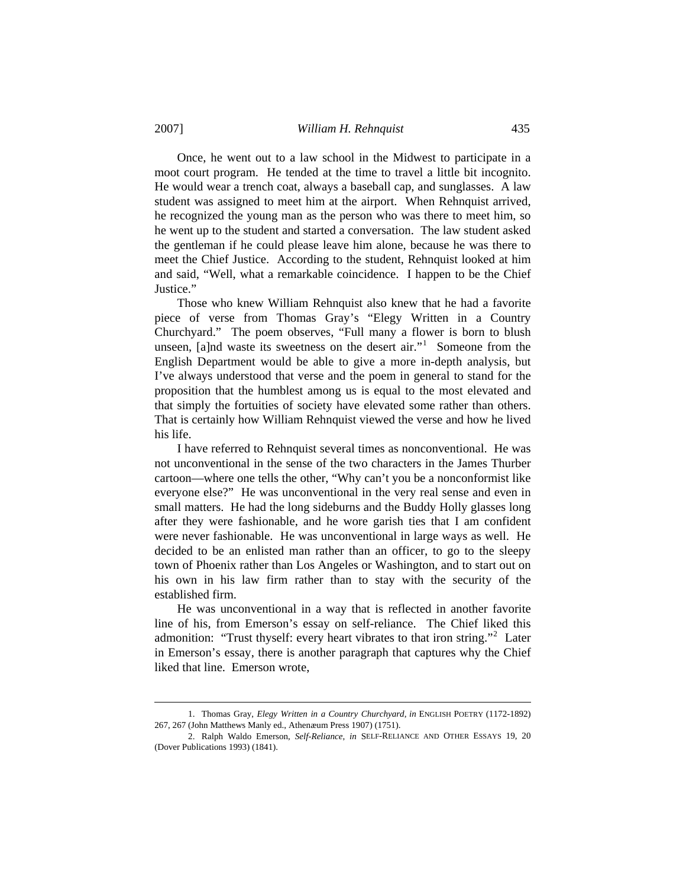Once, he went out to a law school in the Midwest to participate in a moot court program. He tended at the time to travel a little bit incognito. He would wear a trench coat, always a baseball cap, and sunglasses. A law student was assigned to meet him at the airport. When Rehnquist arrived, he recognized the young man as the person who was there to meet him, so he went up to the student and started a conversation. The law student asked the gentleman if he could please leave him alone, because he was there to meet the Chief Justice. According to the student, Rehnquist looked at him and said, "Well, what a remarkable coincidence. I happen to be the Chief Justice."

 Those who knew William Rehnquist also knew that he had a favorite piece of verse from Thomas Gray's "Elegy Written in a Country Churchyard." The poem observes, "Full many a flower is born to blush unseen, [a]nd waste its sweetness on the desert air."<sup>[1](#page-4-0)</sup> Someone from the English Department would be able to give a more in-depth analysis, but I've always understood that verse and the poem in general to stand for the proposition that the humblest among us is equal to the most elevated and that simply the fortuities of society have elevated some rather than others. That is certainly how William Rehnquist viewed the verse and how he lived his life.

 I have referred to Rehnquist several times as nonconventional. He was not unconventional in the sense of the two characters in the James Thurber cartoon—where one tells the other, "Why can't you be a nonconformist like everyone else?" He was unconventional in the very real sense and even in small matters. He had the long sideburns and the Buddy Holly glasses long after they were fashionable, and he wore garish ties that I am confident were never fashionable. He was unconventional in large ways as well. He decided to be an enlisted man rather than an officer, to go to the sleepy town of Phoenix rather than Los Angeles or Washington, and to start out on his own in his law firm rather than to stay with the security of the established firm.

 He was unconventional in a way that is reflected in another favorite line of his, from Emerson's essay on self-reliance. The Chief liked this admonition: "Trust thyself: every heart vibrates to that iron string."<sup>[2](#page-4-1)</sup> Later in Emerson's essay, there is another paragraph that captures why the Chief liked that line. Emerson wrote,

 $\overline{\phantom{a}}$ 

<span id="page-4-0"></span> <sup>1.</sup> Thomas Gray, *Elegy Written in a Country Churchyard*, *in* ENGLISH POETRY (1172-1892) 267, 267 (John Matthews Manly ed., Athenæum Press 1907) (1751).

<span id="page-4-1"></span> <sup>2.</sup> Ralph Waldo Emerson, *Self-Reliance*, *in* SELF-RELIANCE AND OTHER ESSAYS 19, 20 (Dover Publications 1993) (1841).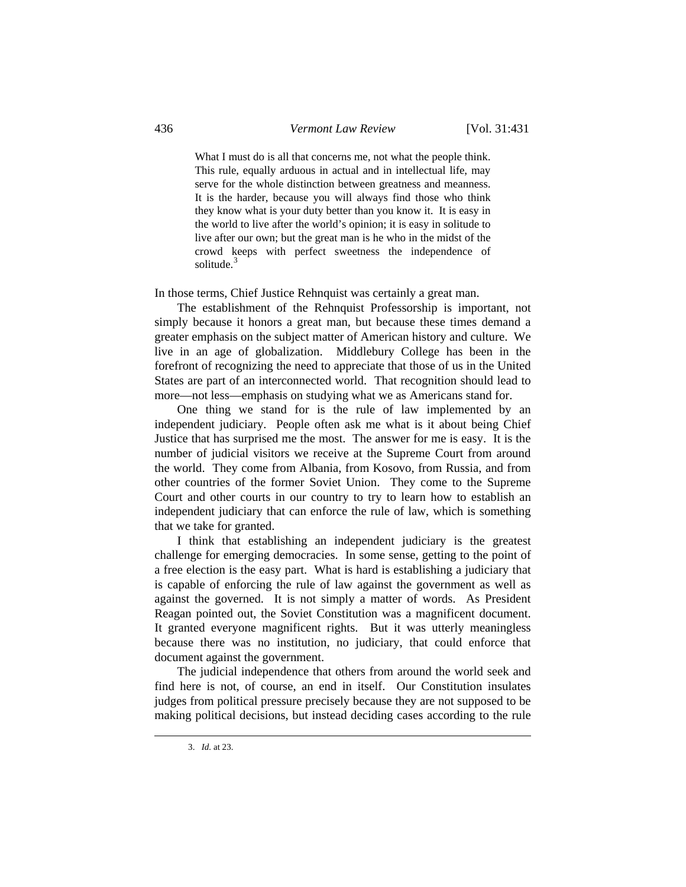What I must do is all that concerns me, not what the people think. This rule, equally arduous in actual and in intellectual life, may serve for the whole distinction between greatness and meanness. It is the harder, because you will always find those who think they know what is your duty better than you know it. It is easy in the world to live after the world's opinion; it is easy in solitude to live after our own; but the great man is he who in the midst of the crowd keeps with perfect sweetness the independence of solitude $3$ 

In those terms, Chief Justice Rehnquist was certainly a great man.

 The establishment of the Rehnquist Professorship is important, not simply because it honors a great man, but because these times demand a greater emphasis on the subject matter of American history and culture. We live in an age of globalization. Middlebury College has been in the forefront of recognizing the need to appreciate that those of us in the United States are part of an interconnected world. That recognition should lead to more—not less—emphasis on studying what we as Americans stand for.

 One thing we stand for is the rule of law implemented by an independent judiciary. People often ask me what is it about being Chief Justice that has surprised me the most. The answer for me is easy. It is the number of judicial visitors we receive at the Supreme Court from around the world. They come from Albania, from Kosovo, from Russia, and from other countries of the former Soviet Union. They come to the Supreme Court and other courts in our country to try to learn how to establish an independent judiciary that can enforce the rule of law, which is something that we take for granted.

 I think that establishing an independent judiciary is the greatest challenge for emerging democracies. In some sense, getting to the point of a free election is the easy part. What is hard is establishing a judiciary that is capable of enforcing the rule of law against the government as well as against the governed. It is not simply a matter of words. As President Reagan pointed out, the Soviet Constitution was a magnificent document. It granted everyone magnificent rights. But it was utterly meaningless because there was no institution, no judiciary, that could enforce that document against the government.

 The judicial independence that others from around the world seek and find here is not, of course, an end in itself. Our Constitution insulates judges from political pressure precisely because they are not supposed to be making political decisions, but instead deciding cases according to the rule

<span id="page-5-0"></span> $\overline{\phantom{a}}$ 

 <sup>3.</sup> *Id.* at 23.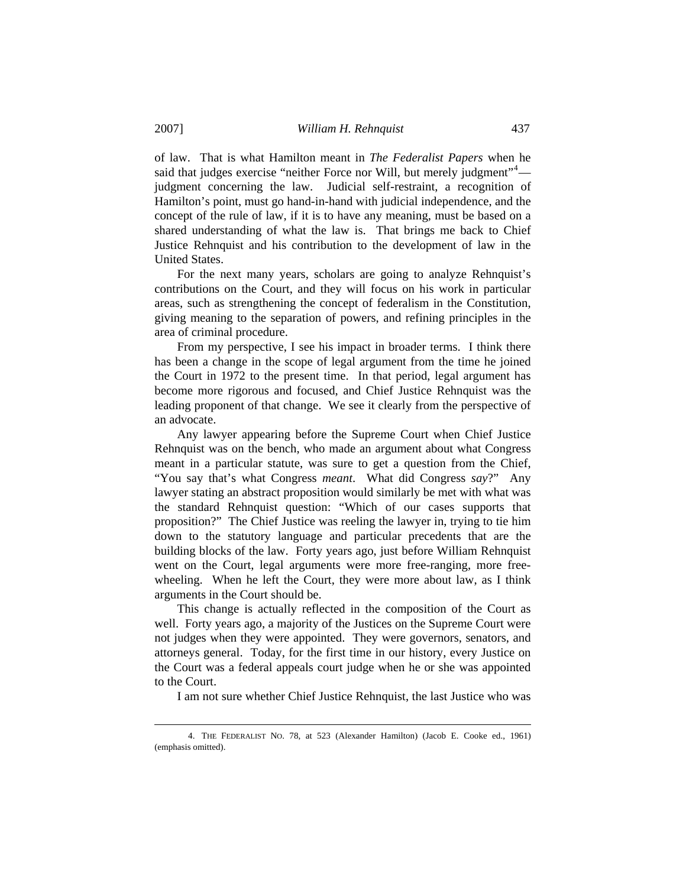of law. That is what Hamilton meant in *The Federalist Papers* when he said that judges exercise "neither Force nor Will, but merely judgment"<sup>[4](#page-6-0)</sup> judgment concerning the law. Judicial self-restraint, a recognition of Hamilton's point, must go hand-in-hand with judicial independence, and the concept of the rule of law, if it is to have any meaning, must be based on a shared understanding of what the law is. That brings me back to Chief Justice Rehnquist and his contribution to the development of law in the United States.

 For the next many years, scholars are going to analyze Rehnquist's contributions on the Court, and they will focus on his work in particular areas, such as strengthening the concept of federalism in the Constitution, giving meaning to the separation of powers, and refining principles in the area of criminal procedure.

 From my perspective, I see his impact in broader terms. I think there has been a change in the scope of legal argument from the time he joined the Court in 1972 to the present time. In that period, legal argument has become more rigorous and focused, and Chief Justice Rehnquist was the leading proponent of that change. We see it clearly from the perspective of an advocate.

 Any lawyer appearing before the Supreme Court when Chief Justice Rehnquist was on the bench, who made an argument about what Congress meant in a particular statute, was sure to get a question from the Chief, "You say that's what Congress *meant*. What did Congress *say*?" Any lawyer stating an abstract proposition would similarly be met with what was the standard Rehnquist question: "Which of our cases supports that proposition?" The Chief Justice was reeling the lawyer in, trying to tie him down to the statutory language and particular precedents that are the building blocks of the law. Forty years ago, just before William Rehnquist went on the Court, legal arguments were more free-ranging, more freewheeling. When he left the Court, they were more about law, as I think arguments in the Court should be.

 This change is actually reflected in the composition of the Court as well. Forty years ago, a majority of the Justices on the Supreme Court were not judges when they were appointed. They were governors, senators, and attorneys general. Today, for the first time in our history, every Justice on the Court was a federal appeals court judge when he or she was appointed to the Court.

I am not sure whether Chief Justice Rehnquist, the last Justice who was

l

<span id="page-6-0"></span> <sup>4.</sup> THE FEDERALIST NO. 78, at 523 (Alexander Hamilton) (Jacob E. Cooke ed., 1961) (emphasis omitted).